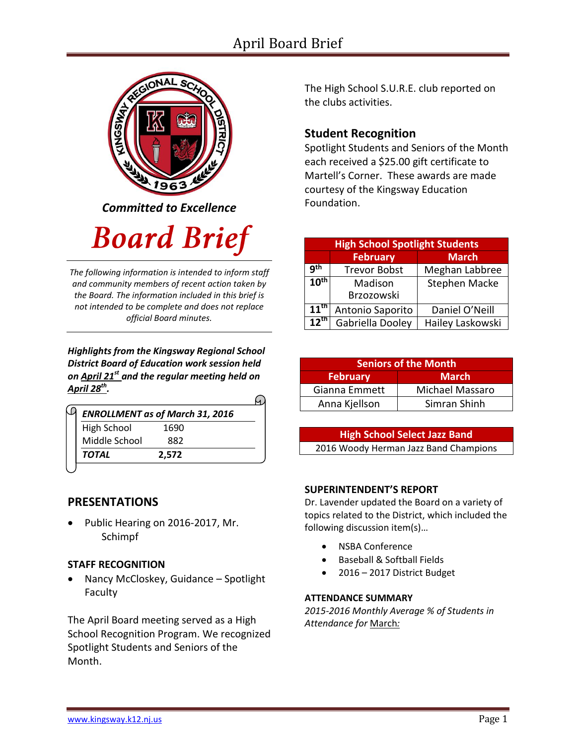## April Board Brief



*Committed to Excellence*

# **Board Brief**

*The following information is intended to inform staff and community members of recent action taken by the Board. The information included in this brief is not intended to be complete and does not replace official Board minutes.*

*Highlights from the Kingsway Regional School District Board of Education work session held on April 21st and the regular meeting held on April 28th .* 

|                    | <b>ENROLLMENT as of March 31, 2016</b> |
|--------------------|----------------------------------------|
| <b>High School</b> | 1690                                   |
| Middle School      | 882                                    |
| <b>TOTAL</b>       | 2.572                                  |

#### **PRESENTATIONS**

 Public Hearing on 2016-2017, Mr. Schimpf

#### **STAFF RECOGNITION**

 Nancy McCloskey, Guidance – Spotlight Faculty

The April Board meeting served as a High School Recognition Program. We recognized Spotlight Students and Seniors of the Month.

The High School S.U.R.E. club reported on the clubs activities.

### **Student Recognition**

Spotlight Students and Seniors of the Month each received a \$25.00 gift certificate to Martell's Corner. These awards are made courtesy of the Kingsway Education Foundation.

| <b>High School Spotlight Students</b> |                     |                      |  |  |
|---------------------------------------|---------------------|----------------------|--|--|
|                                       | <b>February</b>     | <b>March</b>         |  |  |
| qth                                   | <b>Trevor Bobst</b> | Meghan Labbree       |  |  |
| 10 <sup>th</sup>                      | Madison             | <b>Stephen Macke</b> |  |  |
|                                       | Brzozowski          |                      |  |  |
| $11^{\text{th}}$                      | Antonio Saporito    | Daniel O'Neill       |  |  |
| $12^{\text{th}}$                      | Gabriella Dooley    | Hailey Laskowski     |  |  |

| <b>Seniors of the Month</b> |                 |  |  |
|-----------------------------|-----------------|--|--|
| February                    | <b>March</b>    |  |  |
| Gianna Emmett               | Michael Massaro |  |  |
| Anna Kjellson               | Simran Shinh    |  |  |

| <b>High School Select Jazz Band</b>   |  |
|---------------------------------------|--|
| 2016 Woody Herman Jazz Band Champions |  |

#### **SUPERINTENDENT'S REPORT**

Dr. Lavender updated the Board on a variety of topics related to the District, which included the following discussion item(s)…

- [NSBA](http://www.krsd.org/domain/51) Conference
- Baseball & Softball Fields
- 2016 2017 District Budget

#### **ATTENDANCE SUMMARY**

*2015-2016 Monthly Average % of Students in Attendance for* March*:*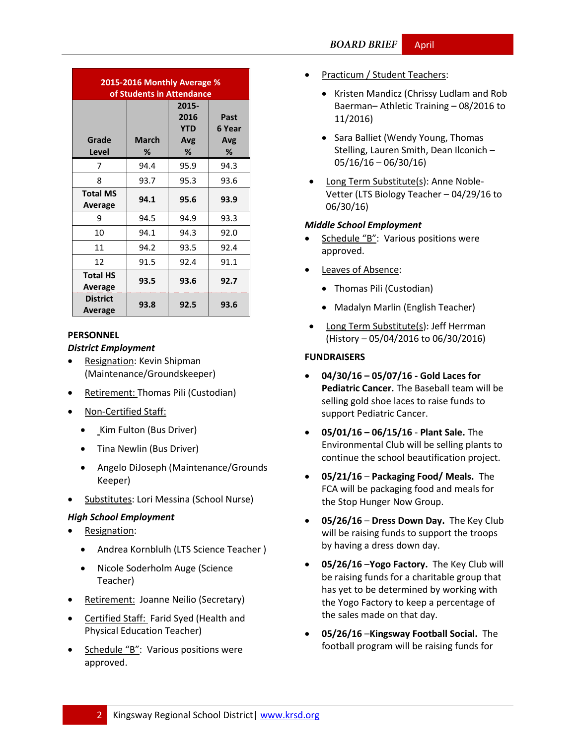| 2015-2016 Monthly Average %<br>of Students in Attendance |                   |                                         |                            |  |  |
|----------------------------------------------------------|-------------------|-----------------------------------------|----------------------------|--|--|
| Grade<br>Level                                           | <b>March</b><br>℅ | 2015-<br>2016<br><b>YTD</b><br>Avg<br>% | Past<br>6 Year<br>Avg<br>℅ |  |  |
| 7                                                        | 94.4              | 95.9                                    | 94.3                       |  |  |
| 8                                                        | 93.7              | 95.3                                    | 93.6                       |  |  |
| <b>Total MS</b><br>Average                               | 94.1              | 95.6                                    | 93.9                       |  |  |
| ٩                                                        | 94.5              | 94.9                                    | 93.3                       |  |  |
| 10                                                       | 94.1              | 94.3                                    | 92.0                       |  |  |
| 11                                                       | 94.2              | 93.5                                    | 92.4                       |  |  |
| 12                                                       | 91.5              | 92.4                                    | 91.1                       |  |  |
| <b>Total HS</b><br>Average                               | 93.5              | 93.6                                    | 92.7                       |  |  |
| <b>District</b><br>Average                               | 93.8              | 92.5                                    | 93.6                       |  |  |

#### **PERSONNEL**

#### *District Employment*

- Resignation: Kevin Shipman (Maintenance/Groundskeeper)
- Retirement: Thomas Pili (Custodian)
- Non-Certified Staff:
	- Kim Fulton (Bus Driver)
	- Tina Newlin (Bus Driver)
	- Angelo DiJoseph (Maintenance/Grounds Keeper)
- Substitutes: Lori Messina (School Nurse)

#### *High School Employment*

- Resignation:
	- Andrea Kornblulh (LTS Science Teacher )
	- Nicole Soderholm Auge (Science Teacher)
- Retirement: Joanne Neilio (Secretary)
- Certified Staff: Farid Syed (Health and Physical Education Teacher)
- Schedule "B": Various positions were approved.
- Practicum / Student Teachers:
	- Kristen Mandicz (Chrissy Ludlam and Rob Baerman– Athletic Training – 08/2016 to 11/2016)
	- Sara Balliet (Wendy Young, Thomas Stelling, Lauren Smith, Dean Ilconich – 05/16/16 – 06/30/16)
- Long Term Substitute(s): Anne Noble-Vetter (LTS Biology Teacher – 04/29/16 to 06/30/16)

#### *Middle School Employment*

- Schedule "B": Various positions were approved.
- Leaves of Absence:
	- Thomas Pili (Custodian)
	- Madalyn Marlin (English Teacher)
- Long Term Substitute(s): Jeff Herrman (History – 05/04/2016 to 06/30/2016)

#### **FUNDRAISERS**

- **04/30/16 – 05/07/16 - Gold Laces for Pediatric Cancer.** The Baseball team will be selling gold shoe laces to raise funds to support Pediatric Cancer.
- **05/01/16 – 06/15/16 Plant Sale.** The Environmental Club will be selling plants to continue the school beautification project.
- **05/21/16 Packaging Food/ Meals.** The FCA will be packaging food and meals for the Stop Hunger Now Group.
- **05/26/16 Dress Down Day.** The Key Club will be raising funds to support the troops by having a dress down day.
- **05/26/16** –**Yogo Factory.** The Key Club will be raising funds for a charitable group that has yet to be determined by working with the Yogo Factory to keep a percentage of the sales made on that day.
- **05/26/16** –**Kingsway Football Social.** The football program will be raising funds for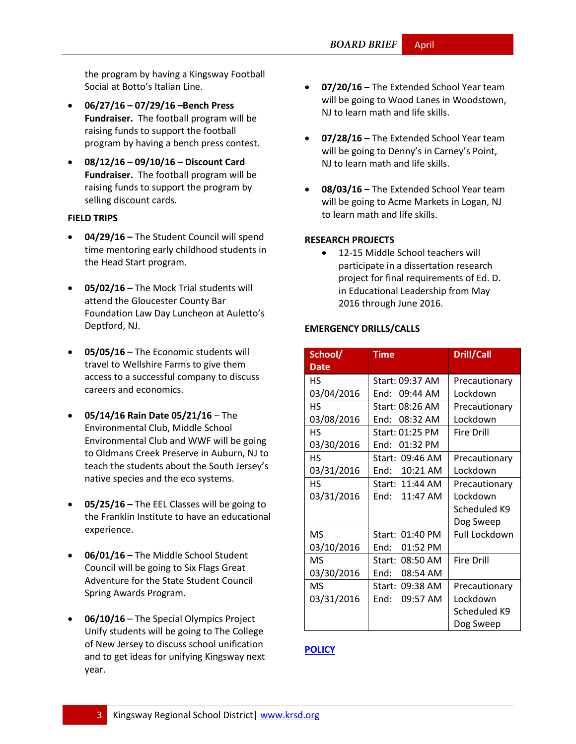the program by having a Kingsway Football Social at Botto's Italian Line.

- **06/27/16 – 07/29/16 –Bench Press Fundraiser.** The football program will be raising funds to support the football program by having a bench press contest.
- **08/12/16 – 09/10/16 – Discount Card Fundraiser.** The football program will be raising funds to support the program by selling discount cards.

#### **FIELD TRIPS**

- **04/29/16 –** The Student Council will spend time mentoring early childhood students in the Head Start program.
- **05/02/16 –** The Mock Trial students will attend the Gloucester County Bar Foundation Law Day Luncheon at Auletto's Deptford, NJ.
- **05/05/16** The Economic students will travel to Wellshire Farms to give them access to a successful company to discuss careers and economics.
- **05/14/16 Rain Date 05/21/16**  The Environmental Club, Middle School Environmental Club and WWF will be going to Oldmans Creek Preserve in Auburn, NJ to teach the students about the South Jersey's native species and the eco systems.
- **05/25/16 –** The EEL Classes will be going to the Franklin Institute to have an educational experience.
- **06/01/16 –** The Middle School Student Council will be going to Six Flags Great Adventure for the State Student Council Spring Awards Program.
- **06/10/16** The Special Olympics Project Unify students will be going to The College of New Jersey to discuss school unification and to get ideas for unifying Kingsway next year.
- **07/20/16 –** The Extended School Year team will be going to Wood Lanes in Woodstown, NJ to learn math and life skills.
- **07/28/16 –** The Extended School Year team will be going to Denny's in Carney's Point, NJ to learn math and life skills.
- **08/03/16 –** The Extended School Year team will be going to Acme Markets in Logan, NJ to learn math and life skills.

#### **RESEARCH PROJECTS**

• 12-15 Middle School teachers will participate in a dissertation research project for final requirements of Ed. D. in Educational Leadership from May 2016 through June 2016.

#### **EMERGENCY DRILLS/CALLS**

| School/     | <b>Time</b>      | <b>Drill/Call</b> |
|-------------|------------------|-------------------|
| <b>Date</b> |                  |                   |
| НS          | Start: 09:37 AM  | Precautionary     |
| 03/04/2016  | End:<br>09:44 AM | Lockdown          |
| <b>HS</b>   | Start: 08:26 AM  | Precautionary     |
| 03/08/2016  | 08:32 AM<br>End: | Lockdown          |
| <b>HS</b>   | Start: 01:25 PM  | <b>Fire Drill</b> |
| 03/30/2016  | 01:32 PM<br>End: |                   |
| <b>HS</b>   | Start: 09:46 AM  | Precautionary     |
| 03/31/2016  | 10:21 AM<br>End: | Lockdown          |
| НS          | Start: 11:44 AM  | Precautionary     |
| 03/31/2016  | 11:47 AM<br>Fnd: | Lockdown          |
|             |                  | Scheduled K9      |
|             |                  | Dog Sweep         |
| <b>MS</b>   | Start: 01:40 PM  | Full Lockdown     |
| 03/10/2016  | 01:52 PM<br>End: |                   |
| <b>MS</b>   | Start: 08:50 AM  | <b>Fire Drill</b> |
| 03/30/2016  | End:<br>08:54 AM |                   |
| MS          | Start: 09:38 AM  | Precautionary     |
| 03/31/2016  | 09:57 AM<br>End: | Lockdown          |
|             |                  | Scheduled K9      |
|             |                  | Dog Sweep         |

#### **[POLICY](http://www.straussesmay.com/seportal/Public/DistrictPolicyTOC.aspx?id=f0cc945ef3894b8d9ad5f87d948ca425&PolicyID=)**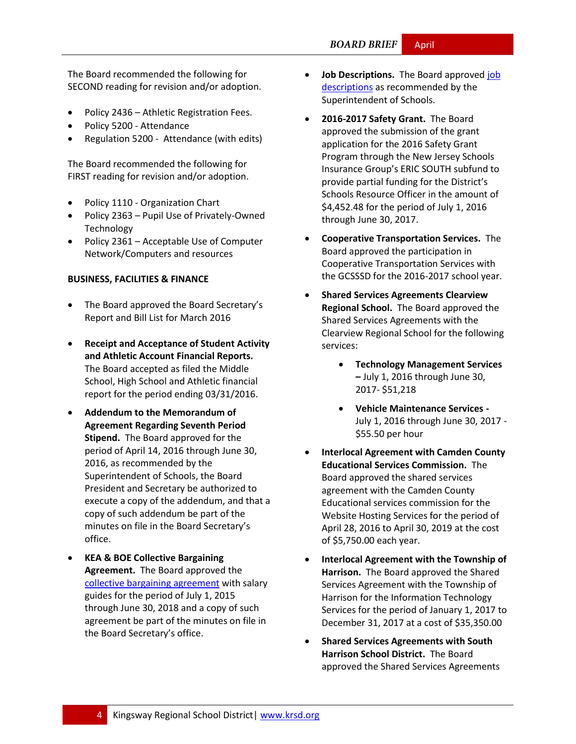#### **BOARD BRIEF** April

The Board recommended the following for SECOND reading for revision and/or adoption.

- Policy 2436 Athletic Registration Fees.
- Policy 5200 Attendance
- Regulation 5200 Attendance (with edits)

The Board recommended the following for FIRST reading for revision and/or adoption.

- Policy 1110 Organization Chart
- Policy 2363 Pupil Use of Privately-Owned Technology
- Policy 2361 Acceptable Use of Computer Network/Computers and resources

#### **BUSINESS, FACILITIES & FINANCE**

- The Board approved the Board Secretary's Report and Bill List for March 2016
- **Receipt and Acceptance of Student Activity and Athletic Account Financial Reports.** The Board accepted as filed the Middle School, High School and Athletic financial report for the period ending 03/31/2016.
- **Addendum to the Memorandum of Agreement Regarding Seventh Period Stipend.** The Board approved for the period of April 14, 2016 through June 30, 2016, as recommended by the Superintendent of Schools, the Board President and Secretary be authorized to execute a copy of the addendum, and that a copy of such addendum be part of the minutes on file in the Board Secretary's office.
- **KEA & BOE Collective Bargaining Agreement.** The Board approved the [collective bargaining agreement](http://user-cszq8ff.cld.bz/KEA-2015-2018-CBA-Final-04-17-161) with salary guides for the period of July 1, 2015 through June 30, 2018 and a copy of such agreement be part of the minutes on file in the Board Secretary's office.
- **Job Descriptions.** The Board approved job [descriptions](http://krsd.org/Page/1014) as recommended by the Superintendent of Schools.
- **2016-2017 Safety Grant.** The Board approved the submission of the grant application for the 2016 Safety Grant Program through the New Jersey Schools Insurance Group's ERIC SOUTH subfund to provide partial funding for the District's Schools Resource Officer in the amount of \$4,452.48 for the period of July 1, 2016 through June 30, 2017.
- **Cooperative Transportation Services.** The Board approved the participation in Cooperative Transportation Services with the GCSSSD for the 2016-2017 school year.
- **Shared Services Agreements Clearview Regional School.** The Board approved the Shared Services Agreements with the Clearview Regional School for the following services:
	- **Technology Management Services –** July 1, 2016 through June 30, 2017- \$51,218
	- **Vehicle Maintenance Services**  July 1, 2016 through June 30, 2017 - \$55.50 per hour
- **Interlocal Agreement with Camden County Educational Services Commission.** The Board approved the shared services agreement with the Camden County Educational services commission for the Website Hosting Services for the period of April 28, 2016 to April 30, 2019 at the cost of \$5,750.00 each year.
- **Interlocal Agreement with the Township of Harrison.** The Board approved the Shared Services Agreement with the Township of Harrison for the Information Technology Services for the period of January 1, 2017 to December 31, 2017 at a cost of \$35,350.00
- **Shared Services Agreements with South Harrison School District.** The Board approved the Shared Services Agreements